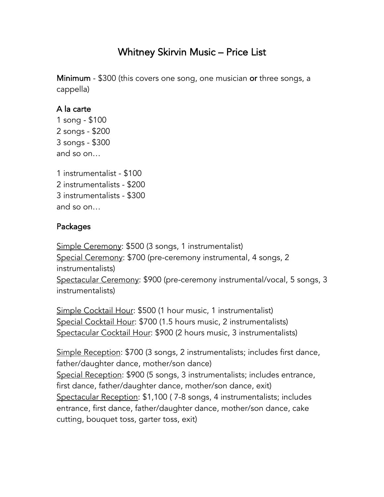## Whitney Skirvin Music – Price List

Minimum - \$300 (this covers one song, one musician or three songs, a cappella)

## A la carte

1 song - \$100 2 songs - \$200 3 songs - \$300 and so on…

1 instrumentalist - \$100 2 instrumentalists - \$200 3 instrumentalists - \$300 and so on…

## Packages

Simple Ceremony: \$500 (3 songs, 1 instrumentalist) Special Ceremony: \$700 (pre-ceremony instrumental, 4 songs, 2 instrumentalists) Spectacular Ceremony: \$900 (pre-ceremony instrumental/vocal, 5 songs, 3 instrumentalists)

Simple Cocktail Hour: \$500 (1 hour music, 1 instrumentalist) Special Cocktail Hour: \$700 (1.5 hours music, 2 instrumentalists) Spectacular Cocktail Hour: \$900 (2 hours music, 3 instrumentalists)

Simple Reception: \$700 (3 songs, 2 instrumentalists; includes first dance, father/daughter dance, mother/son dance) Special Reception: \$900 (5 songs, 3 instrumentalists; includes entrance, first dance, father/daughter dance, mother/son dance, exit) Spectacular Reception: \$1,100 ( 7-8 songs, 4 instrumentalists; includes entrance, first dance, father/daughter dance, mother/son dance, cake cutting, bouquet toss, garter toss, exit)